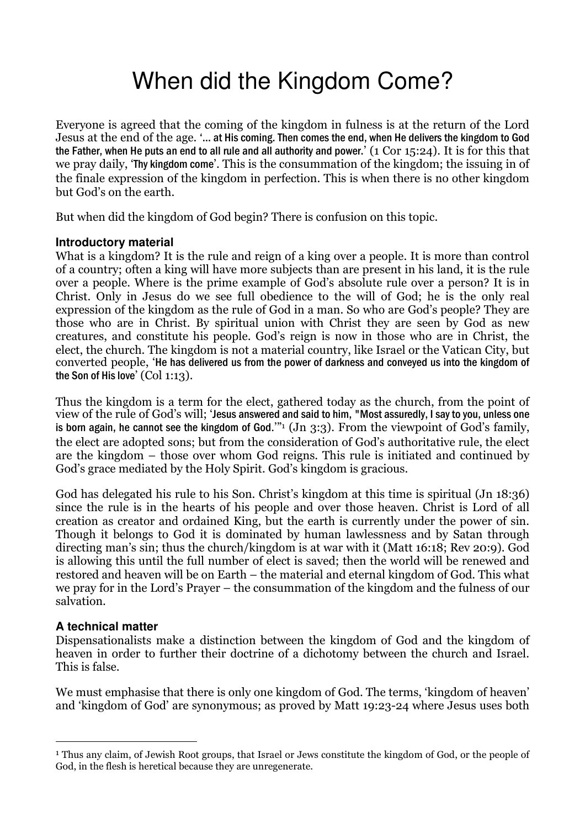# When did the Kingdom Come?

Everyone is agreed that the coming of the kingdom in fulness is at the return of the Lord Jesus at the end of the age. '… at His coming. Then comes the end, when He delivers the kingdom to God the Father, when He puts an end to all rule and all authority and power.' (1 Cor 15:24). It is for this that we pray daily, 'Thy kingdom come'. This is the consummation of the kingdom; the issuing in of the finale expression of the kingdom in perfection. This is when there is no other kingdom but God's on the earth.

But when did the kingdom of God begin? There is confusion on this topic.

# **Introductory material**

What is a kingdom? It is the rule and reign of a king over a people. It is more than control of a country; often a king will have more subjects than are present in his land, it is the rule over a people. Where is the prime example of God's absolute rule over a person? It is in Christ. Only in Jesus do we see full obedience to the will of God; he is the only real expression of the kingdom as the rule of God in a man. So who are God's people? They are those who are in Christ. By spiritual union with Christ they are seen by God as new creatures, and constitute his people. God's reign is now in those who are in Christ, the elect, the church. The kingdom is not a material country, like Israel or the Vatican City, but converted people, 'He has delivered us from the power of darkness and conveyed us into the kingdom of the Son of His love' (Col 1:13).

Thus the kingdom is a term for the elect, gathered today as the church, from the point of view of the rule of God's will; 'Jesus answered and said to him, "Most assuredly, I say to you, unless one is born again, he cannot see the kingdom of God."<sup>1</sup> (Jn 3:3). From the viewpoint of God's family, the elect are adopted sons; but from the consideration of God's authoritative rule, the elect are the kingdom – those over whom God reigns. This rule is initiated and continued by God's grace mediated by the Holy Spirit. God's kingdom is gracious.

God has delegated his rule to his Son. Christ's kingdom at this time is spiritual (Jn 18:36) since the rule is in the hearts of his people and over those heaven. Christ is Lord of all creation as creator and ordained King, but the earth is currently under the power of sin. Though it belongs to God it is dominated by human lawlessness and by Satan through directing man's sin; thus the church/kingdom is at war with it (Matt 16:18; Rev 20:9). God is allowing this until the full number of elect is saved; then the world will be renewed and restored and heaven will be on Earth – the material and eternal kingdom of God. This what we pray for in the Lord's Prayer – the consummation of the kingdom and the fulness of our salvation.

# **A technical matter**

 $\overline{a}$ 

Dispensationalists make a distinction between the kingdom of God and the kingdom of heaven in order to further their doctrine of a dichotomy between the church and Israel. This is false.

We must emphasise that there is only one kingdom of God. The terms, 'kingdom of heaven' and 'kingdom of God' are synonymous; as proved by Matt 19:23-24 where Jesus uses both

<sup>&</sup>lt;sup>1</sup> Thus any claim, of Jewish Root groups, that Israel or Jews constitute the kingdom of God, or the people of God, in the flesh is heretical because they are unregenerate.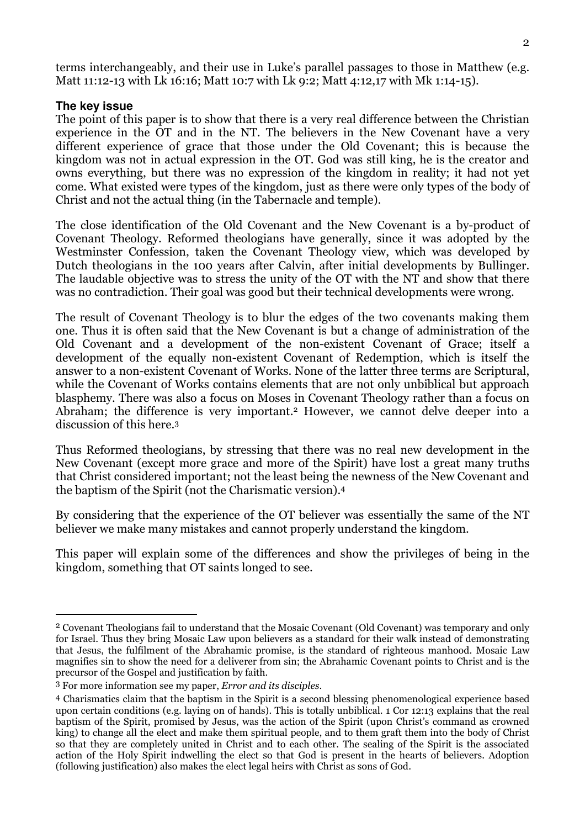terms interchangeably, and their use in Luke's parallel passages to those in Matthew (e.g. Matt 11:12-13 with Lk 16:16; Matt 10:7 with Lk 9:2; Matt 4:12,17 with Mk 1:14-15).

#### **The key issue**

 $\overline{a}$ 

The point of this paper is to show that there is a very real difference between the Christian experience in the OT and in the NT. The believers in the New Covenant have a very different experience of grace that those under the Old Covenant; this is because the kingdom was not in actual expression in the OT. God was still king, he is the creator and owns everything, but there was no expression of the kingdom in reality; it had not yet come. What existed were types of the kingdom, just as there were only types of the body of Christ and not the actual thing (in the Tabernacle and temple).

The close identification of the Old Covenant and the New Covenant is a by-product of Covenant Theology. Reformed theologians have generally, since it was adopted by the Westminster Confession, taken the Covenant Theology view, which was developed by Dutch theologians in the 100 years after Calvin, after initial developments by Bullinger. The laudable objective was to stress the unity of the OT with the NT and show that there was no contradiction. Their goal was good but their technical developments were wrong.

The result of Covenant Theology is to blur the edges of the two covenants making them one. Thus it is often said that the New Covenant is but a change of administration of the Old Covenant and a development of the non-existent Covenant of Grace; itself a development of the equally non-existent Covenant of Redemption, which is itself the answer to a non-existent Covenant of Works. None of the latter three terms are Scriptural, while the Covenant of Works contains elements that are not only unbiblical but approach blasphemy. There was also a focus on Moses in Covenant Theology rather than a focus on Abraham; the difference is very important.<sup>2</sup> However, we cannot delve deeper into a discussion of this here.<sup>3</sup>

Thus Reformed theologians, by stressing that there was no real new development in the New Covenant (except more grace and more of the Spirit) have lost a great many truths that Christ considered important; not the least being the newness of the New Covenant and the baptism of the Spirit (not the Charismatic version).<sup>4</sup>

By considering that the experience of the OT believer was essentially the same of the NT believer we make many mistakes and cannot properly understand the kingdom.

This paper will explain some of the differences and show the privileges of being in the kingdom, something that OT saints longed to see.

<sup>2</sup> Covenant Theologians fail to understand that the Mosaic Covenant (Old Covenant) was temporary and only for Israel. Thus they bring Mosaic Law upon believers as a standard for their walk instead of demonstrating that Jesus, the fulfilment of the Abrahamic promise, is the standard of righteous manhood. Mosaic Law magnifies sin to show the need for a deliverer from sin; the Abrahamic Covenant points to Christ and is the precursor of the Gospel and justification by faith.

<sup>3</sup> For more information see my paper, Error and its disciples.

<sup>4</sup> Charismatics claim that the baptism in the Spirit is a second blessing phenomenological experience based upon certain conditions (e.g. laying on of hands). This is totally unbiblical. 1 Cor 12:13 explains that the real baptism of the Spirit, promised by Jesus, was the action of the Spirit (upon Christ's command as crowned king) to change all the elect and make them spiritual people, and to them graft them into the body of Christ so that they are completely united in Christ and to each other. The sealing of the Spirit is the associated action of the Holy Spirit indwelling the elect so that God is present in the hearts of believers. Adoption (following justification) also makes the elect legal heirs with Christ as sons of God.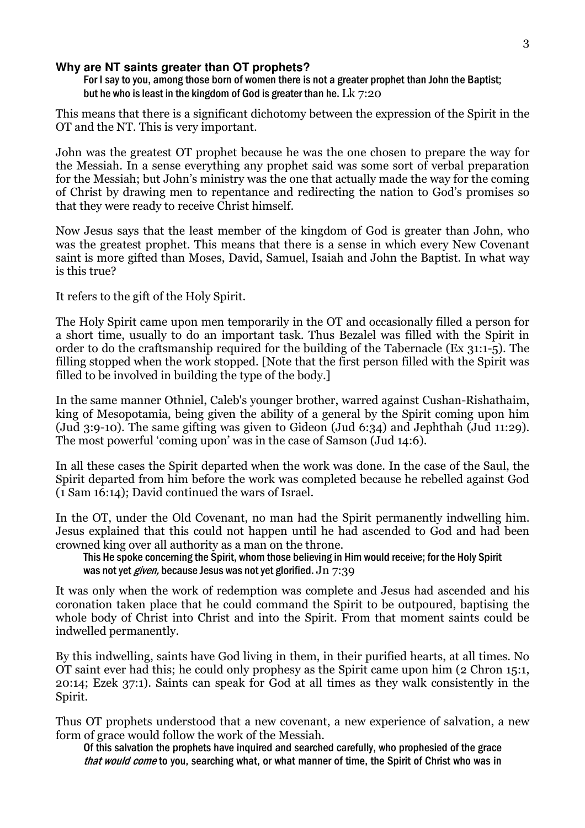#### **Why are NT saints greater than OT prophets?**

For I say to you, among those born of women there is not a greater prophet than John the Baptist; but he who is least in the kingdom of God is greater than he. L $k$  7:20

This means that there is a significant dichotomy between the expression of the Spirit in the OT and the NT. This is very important.

John was the greatest OT prophet because he was the one chosen to prepare the way for the Messiah. In a sense everything any prophet said was some sort of verbal preparation for the Messiah; but John's ministry was the one that actually made the way for the coming of Christ by drawing men to repentance and redirecting the nation to God's promises so that they were ready to receive Christ himself.

Now Jesus says that the least member of the kingdom of God is greater than John, who was the greatest prophet. This means that there is a sense in which every New Covenant saint is more gifted than Moses, David, Samuel, Isaiah and John the Baptist. In what way is this true?

It refers to the gift of the Holy Spirit.

The Holy Spirit came upon men temporarily in the OT and occasionally filled a person for a short time, usually to do an important task. Thus Bezalel was filled with the Spirit in order to do the craftsmanship required for the building of the Tabernacle (Ex 31:1-5). The filling stopped when the work stopped. [Note that the first person filled with the Spirit was filled to be involved in building the type of the body.]

In the same manner Othniel, Caleb's younger brother, warred against Cushan-Rishathaim, king of Mesopotamia, being given the ability of a general by the Spirit coming upon him (Jud 3:9-10). The same gifting was given to Gideon (Jud 6:34) and Jephthah (Jud 11:29). The most powerful 'coming upon' was in the case of Samson (Jud 14:6).

In all these cases the Spirit departed when the work was done. In the case of the Saul, the Spirit departed from him before the work was completed because he rebelled against God (1 Sam 16:14); David continued the wars of Israel.

In the OT, under the Old Covenant, no man had the Spirit permanently indwelling him. Jesus explained that this could not happen until he had ascended to God and had been crowned king over all authority as a man on the throne.

This He spoke concerning the Spirit, whom those believing in Him would receive; for the Holy Spirit was not yet *given*, because Jesus was not yet glorified. Jn 7:39

It was only when the work of redemption was complete and Jesus had ascended and his coronation taken place that he could command the Spirit to be outpoured, baptising the whole body of Christ into Christ and into the Spirit. From that moment saints could be indwelled permanently.

By this indwelling, saints have God living in them, in their purified hearts, at all times. No OT saint ever had this; he could only prophesy as the Spirit came upon him (2 Chron 15:1, 20:14; Ezek 37:1). Saints can speak for God at all times as they walk consistently in the Spirit.

Thus OT prophets understood that a new covenant, a new experience of salvation, a new form of grace would follow the work of the Messiah.

Of this salvation the prophets have inquired and searched carefully, who prophesied of the grace that would come to you, searching what, or what manner of time, the Spirit of Christ who was in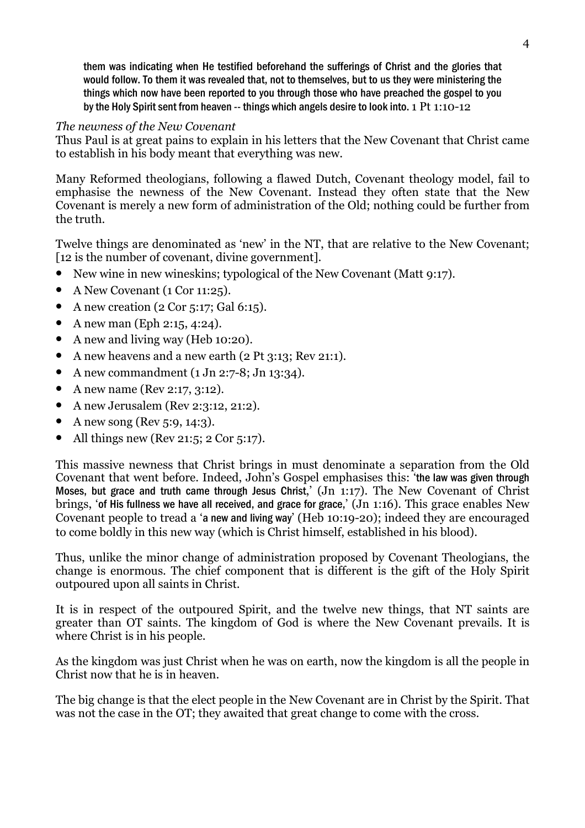them was indicating when He testified beforehand the sufferings of Christ and the glories that would follow. To them it was revealed that, not to themselves, but to us they were ministering the things which now have been reported to you through those who have preached the gospel to you by the Holy Spirit sent from heaven -- things which angels desire to look into. 1 Pt 1:10-12

# The newness of the New Covenant

Thus Paul is at great pains to explain in his letters that the New Covenant that Christ came to establish in his body meant that everything was new.

Many Reformed theologians, following a flawed Dutch, Covenant theology model, fail to emphasise the newness of the New Covenant. Instead they often state that the New Covenant is merely a new form of administration of the Old; nothing could be further from the truth.

Twelve things are denominated as 'new' in the NT, that are relative to the New Covenant; [12 is the number of covenant, divine government].

- New wine in new wineskins; typological of the New Covenant (Matt 9:17).
- A New Covenant (1 Cor 11:25).
- A new creation  $(2 \text{Cor } 5:17; \text{ Gal } 6:15)$ .
- A new man (Eph 2:15, 4:24).
- A new and living way (Heb 10:20).
- A new heavens and a new earth (2 Pt 3:13; Rev 21:1).
- A new commandment  $(1 \text{ Jn } 2:7-8; \text{ Jn } 13:34)$ .
- A new name (Rev 2:17, 3:12).
- A new Jerusalem (Rev 2:3:12, 21:2).
- A new song (Rev 5:9, 14:3).
- All things new (Rev 21:5; 2 Cor 5:17).

This massive newness that Christ brings in must denominate a separation from the Old Covenant that went before. Indeed, John's Gospel emphasises this: 'the law was given through Moses, but grace and truth came through Jesus Christ,'  $\overline{(Jn 1:17)}$ . The New Covenant of Christ brings, 'of His fullness we have all received, and grace for grace,' (Jn 1:16). This grace enables New Covenant people to tread a 'a new and living way' (Heb 10:19-20); indeed they are encouraged to come boldly in this new way (which is Christ himself, established in his blood).

Thus, unlike the minor change of administration proposed by Covenant Theologians, the change is enormous. The chief component that is different is the gift of the Holy Spirit outpoured upon all saints in Christ.

It is in respect of the outpoured Spirit, and the twelve new things, that NT saints are greater than OT saints. The kingdom of God is where the New Covenant prevails. It is where Christ is in his people.

As the kingdom was just Christ when he was on earth, now the kingdom is all the people in Christ now that he is in heaven.

The big change is that the elect people in the New Covenant are in Christ by the Spirit. That was not the case in the OT; they awaited that great change to come with the cross.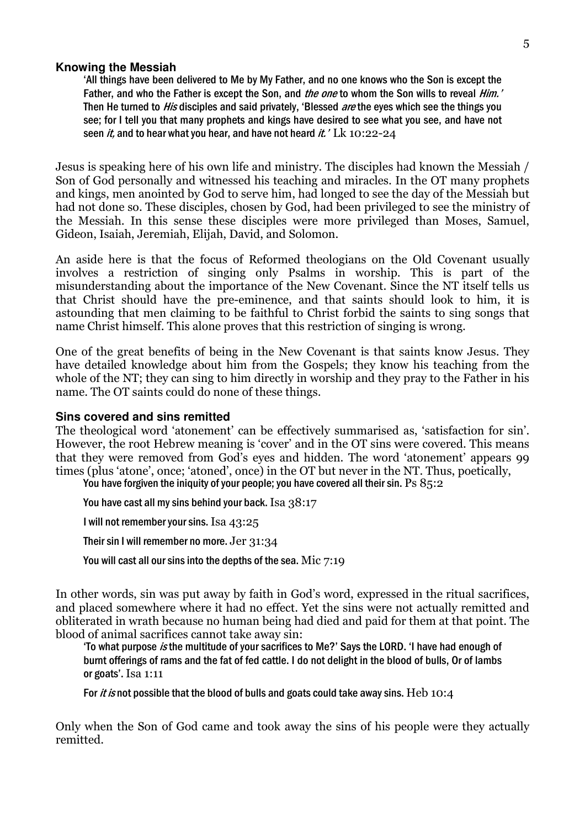#### **Knowing the Messiah**

'All things have been delivered to Me by My Father, and no one knows who the Son is except the Father, and who the Father is except the Son, and *the one* to whom the Son wills to reveal *Him.'* Then He turned to *His* disciples and said privately, 'Blessed *are* the eyes which see the things you see; for I tell you that many prophets and kings have desired to see what you see, and have not seen *it*, and to hear what you hear, and have not heard *it.*  $'$  Lk 10:22-24

Jesus is speaking here of his own life and ministry. The disciples had known the Messiah / Son of God personally and witnessed his teaching and miracles. In the OT many prophets and kings, men anointed by God to serve him, had longed to see the day of the Messiah but had not done so. These disciples, chosen by God, had been privileged to see the ministry of the Messiah. In this sense these disciples were more privileged than Moses, Samuel, Gideon, Isaiah, Jeremiah, Elijah, David, and Solomon.

An aside here is that the focus of Reformed theologians on the Old Covenant usually involves a restriction of singing only Psalms in worship. This is part of the misunderstanding about the importance of the New Covenant. Since the NT itself tells us that Christ should have the pre-eminence, and that saints should look to him, it is astounding that men claiming to be faithful to Christ forbid the saints to sing songs that name Christ himself. This alone proves that this restriction of singing is wrong.

One of the great benefits of being in the New Covenant is that saints know Jesus. They have detailed knowledge about him from the Gospels; they know his teaching from the whole of the NT; they can sing to him directly in worship and they pray to the Father in his name. The OT saints could do none of these things.

#### **Sins covered and sins remitted**

The theological word 'atonement' can be effectively summarised as, 'satisfaction for sin'. However, the root Hebrew meaning is 'cover' and in the OT sins were covered. This means that they were removed from God's eyes and hidden. The word 'atonement' appears 99 times (plus 'atone', once; 'atoned', once) in the OT but never in the NT. Thus, poetically,

You have forgiven the iniquity of your people; you have covered all their sin. Ps 85:2

You have cast all my sins behind your back. Isa 38:17

I will not remember your sins. Isa 43:25

Their sin I will remember no more. Jer 31:34

You will cast all our sins into the depths of the sea. Mic 7:19

In other words, sin was put away by faith in God's word, expressed in the ritual sacrifices, and placed somewhere where it had no effect. Yet the sins were not actually remitted and obliterated in wrath because no human being had died and paid for them at that point. The blood of animal sacrifices cannot take away sin:

'To what purpose is the multitude of your sacrifices to Me?' Says the LORD. 'I have had enough of burnt offerings of rams and the fat of fed cattle. I do not delight in the blood of bulls, Or of lambs or goats'. Isa 1:11

For it is not possible that the blood of bulls and goats could take away sins. Heb  $10:4$ 

Only when the Son of God came and took away the sins of his people were they actually remitted.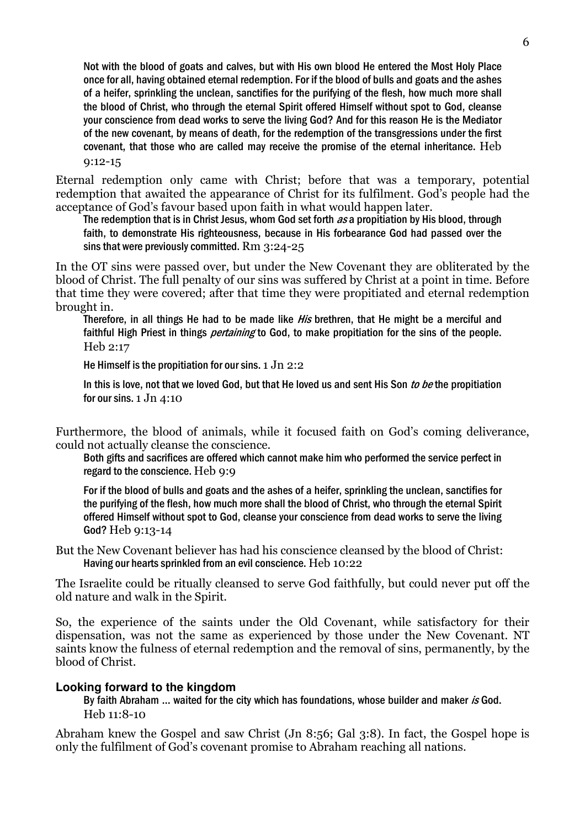Not with the blood of goats and calves, but with His own blood He entered the Most Holy Place once for all, having obtained eternal redemption. For if the blood of bulls and goats and the ashes of a heifer, sprinkling the unclean, sanctifies for the purifying of the flesh, how much more shall the blood of Christ, who through the eternal Spirit offered Himself without spot to God, cleanse your conscience from dead works to serve the living God? And for this reason He is the Mediator of the new covenant, by means of death, for the redemption of the transgressions under the first covenant, that those who are called may receive the promise of the eternal inheritance. Heb 9:12-15

Eternal redemption only came with Christ; before that was a temporary, potential redemption that awaited the appearance of Christ for its fulfilment. God's people had the acceptance of God's favour based upon faith in what would happen later.

The redemption that is in Christ Jesus, whom God set forth as a propitiation by His blood, through faith, to demonstrate His righteousness, because in His forbearance God had passed over the sins that were previously committed. Rm 3:24-25

In the OT sins were passed over, but under the New Covenant they are obliterated by the blood of Christ. The full penalty of our sins was suffered by Christ at a point in time. Before that time they were covered; after that time they were propitiated and eternal redemption brought in.

Therefore, in all things He had to be made like  $H$ is brethren, that He might be a merciful and faithful High Priest in things *pertaining* to God, to make propitiation for the sins of the people. Heb 2:17

He Himself is the propitiation for our sins.  $1 \text{ Jn } 2:2$ 

In this is love, not that we loved God, but that He loved us and sent His Son to be the propitiation for our sins. 1 Jn 4:10

Furthermore, the blood of animals, while it focused faith on God's coming deliverance, could not actually cleanse the conscience.

Both gifts and sacrifices are offered which cannot make him who performed the service perfect in regard to the conscience. Heb 9:9

For if the blood of bulls and goats and the ashes of a heifer, sprinkling the unclean, sanctifies for the purifying of the flesh, how much more shall the blood of Christ, who through the eternal Spirit offered Himself without spot to God, cleanse your conscience from dead works to serve the living God? Heb 9:13-14

But the New Covenant believer has had his conscience cleansed by the blood of Christ: Having our hearts sprinkled from an evil conscience. Heb 10:22

The Israelite could be ritually cleansed to serve God faithfully, but could never put off the old nature and walk in the Spirit.

So, the experience of the saints under the Old Covenant, while satisfactory for their dispensation, was not the same as experienced by those under the New Covenant. NT saints know the fulness of eternal redemption and the removal of sins, permanently, by the blood of Christ.

# **Looking forward to the kingdom**

By faith Abraham ... waited for the city which has foundations, whose builder and maker is God. Heb 11:8-10

Abraham knew the Gospel and saw Christ (Jn 8:56; Gal 3:8). In fact, the Gospel hope is only the fulfilment of God's covenant promise to Abraham reaching all nations.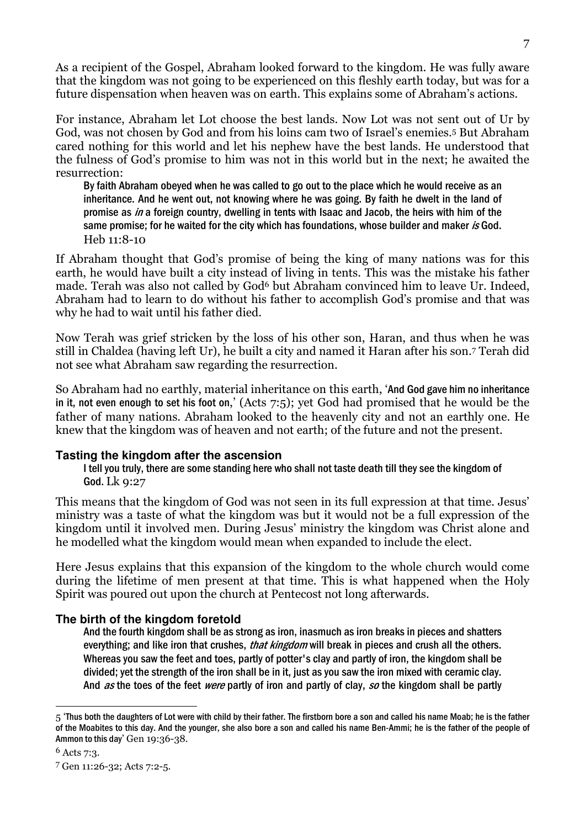As a recipient of the Gospel, Abraham looked forward to the kingdom. He was fully aware that the kingdom was not going to be experienced on this fleshly earth today, but was for a future dispensation when heaven was on earth. This explains some of Abraham's actions.

For instance, Abraham let Lot choose the best lands. Now Lot was not sent out of Ur by God, was not chosen by God and from his loins cam two of Israel's enemies.5 But Abraham cared nothing for this world and let his nephew have the best lands. He understood that the fulness of God's promise to him was not in this world but in the next; he awaited the resurrection:

By faith Abraham obeyed when he was called to go out to the place which he would receive as an inheritance. And he went out, not knowing where he was going. By faith he dwelt in the land of promise as in a foreign country, dwelling in tents with Isaac and Jacob, the heirs with him of the same promise; for he waited for the city which has foundations, whose builder and maker is God. Heb 11:8-10

If Abraham thought that God's promise of being the king of many nations was for this earth, he would have built a city instead of living in tents. This was the mistake his father made. Terah was also not called by God<sup>6</sup> but Abraham convinced him to leave Ur. Indeed, Abraham had to learn to do without his father to accomplish God's promise and that was why he had to wait until his father died.

Now Terah was grief stricken by the loss of his other son, Haran, and thus when he was still in Chaldea (having left Ur), he built a city and named it Haran after his son.7 Terah did not see what Abraham saw regarding the resurrection.

So Abraham had no earthly, material inheritance on this earth, 'And God gave him no inheritance in it, not even enough to set his foot on,' (Acts 7:5); yet God had promised that he would be the father of many nations. Abraham looked to the heavenly city and not an earthly one. He knew that the kingdom was of heaven and not earth; of the future and not the present.

# **Tasting the kingdom after the ascension**

I tell you truly, there are some standing here who shall not taste death till they see the kingdom of God. Lk 9:27

This means that the kingdom of God was not seen in its full expression at that time. Jesus' ministry was a taste of what the kingdom was but it would not be a full expression of the kingdom until it involved men. During Jesus' ministry the kingdom was Christ alone and he modelled what the kingdom would mean when expanded to include the elect.

Here Jesus explains that this expansion of the kingdom to the whole church would come during the lifetime of men present at that time. This is what happened when the Holy Spirit was poured out upon the church at Pentecost not long afterwards.

# **The birth of the kingdom foretold**

And the fourth kingdom shall be as strong as iron, inasmuch as iron breaks in pieces and shatters everything; and like iron that crushes, *that kingdom* will break in pieces and crush all the others. Whereas you saw the feet and toes, partly of potter's clay and partly of iron, the kingdom shall be divided; yet the strength of the iron shall be in it, just as you saw the iron mixed with ceramic clay. And as the toes of the feet were partly of iron and partly of clay, so the kingdom shall be partly

 $\overline{a}$  $_5$  'Thus both the daughters of Lot were with child by their father. The firstborn bore a son and called his name Moab; he is the father of the Moabites to this day. And the younger, she also bore a son and called his name Ben-Ammi; he is the father of the people of Ammon to this day' Gen 19:36-38.

<sup>6</sup> Acts 7:3.

<sup>7</sup> Gen 11:26-32; Acts 7:2-5.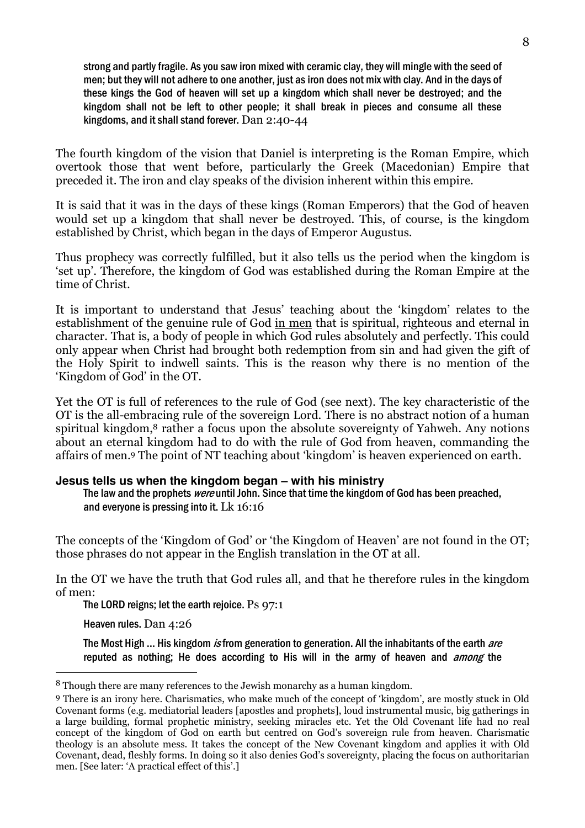strong and partly fragile. As you saw iron mixed with ceramic clay, they will mingle with the seed of men; but they will not adhere to one another, just as iron does not mix with clay. And in the days of these kings the God of heaven will set up a kingdom which shall never be destroyed; and the kingdom shall not be left to other people; it shall break in pieces and consume all these kingdoms, and it shall stand forever. Dan 2:40-44

The fourth kingdom of the vision that Daniel is interpreting is the Roman Empire, which overtook those that went before, particularly the Greek (Macedonian) Empire that preceded it. The iron and clay speaks of the division inherent within this empire.

It is said that it was in the days of these kings (Roman Emperors) that the God of heaven would set up a kingdom that shall never be destroyed. This, of course, is the kingdom established by Christ, which began in the days of Emperor Augustus.

Thus prophecy was correctly fulfilled, but it also tells us the period when the kingdom is 'set up'. Therefore, the kingdom of God was established during the Roman Empire at the time of Christ.

It is important to understand that Jesus' teaching about the 'kingdom' relates to the establishment of the genuine rule of God in men that is spiritual, righteous and eternal in character. That is, a body of people in which God rules absolutely and perfectly. This could only appear when Christ had brought both redemption from sin and had given the gift of the Holy Spirit to indwell saints. This is the reason why there is no mention of the 'Kingdom of God' in the OT.

Yet the OT is full of references to the rule of God (see next). The key characteristic of the OT is the all-embracing rule of the sovereign Lord. There is no abstract notion of a human spiritual kingdom,<sup>8</sup> rather a focus upon the absolute sovereignty of Yahweh. Any notions about an eternal kingdom had to do with the rule of God from heaven, commanding the affairs of men.9 The point of NT teaching about 'kingdom' is heaven experienced on earth.

# **Jesus tells us when the kingdom began – with his ministry**

The law and the prophets were until John. Since that time the kingdom of God has been preached. and everyone is pressing into it. Lk 16:16

The concepts of the 'Kingdom of God' or 'the Kingdom of Heaven' are not found in the OT; those phrases do not appear in the English translation in the OT at all.

In the OT we have the truth that God rules all, and that he therefore rules in the kingdom of men:

The LORD reigns; let the earth rejoice. Ps 97:1

Heaven rules. Dan 4:26

 $\overline{a}$ 

The Most High ... His kingdom *is* from generation to generation. All the inhabitants of the earth *are* reputed as nothing; He does according to His will in the army of heaven and *among* the

<sup>8</sup> Though there are many references to the Jewish monarchy as a human kingdom.

<sup>9</sup> There is an irony here. Charismatics, who make much of the concept of 'kingdom', are mostly stuck in Old Covenant forms (e.g. mediatorial leaders [apostles and prophets], loud instrumental music, big gatherings in a large building, formal prophetic ministry, seeking miracles etc. Yet the Old Covenant life had no real concept of the kingdom of God on earth but centred on God's sovereign rule from heaven. Charismatic theology is an absolute mess. It takes the concept of the New Covenant kingdom and applies it with Old Covenant, dead, fleshly forms. In doing so it also denies God's sovereignty, placing the focus on authoritarian men. [See later: 'A practical effect of this'.]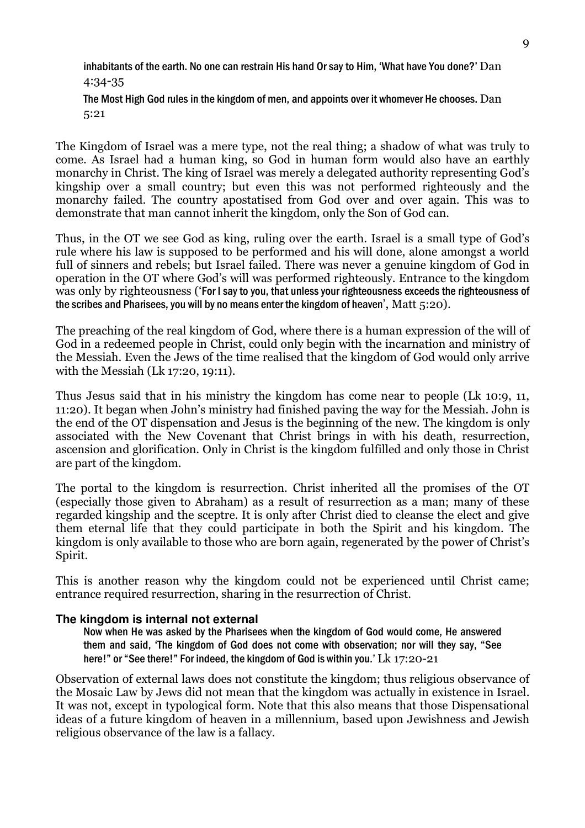inhabitants of the earth. No one can restrain His hand Or say to Him, 'What have You done?' Dan 4:34-35

The Most High God rules in the kingdom of men, and appoints over it whomever He chooses. Dan 5:21

The Kingdom of Israel was a mere type, not the real thing; a shadow of what was truly to come. As Israel had a human king, so God in human form would also have an earthly monarchy in Christ. The king of Israel was merely a delegated authority representing God's kingship over a small country; but even this was not performed righteously and the monarchy failed. The country apostatised from God over and over again. This was to demonstrate that man cannot inherit the kingdom, only the Son of God can.

Thus, in the OT we see God as king, ruling over the earth. Israel is a small type of God's rule where his law is supposed to be performed and his will done, alone amongst a world full of sinners and rebels; but Israel failed. There was never a genuine kingdom of God in operation in the OT where God's will was performed righteously. Entrance to the kingdom was only by righteousness ('For I say to you, that unless your righteousness exceeds the righteousness of the scribes and Pharisees, you will by no means enter the kingdom of heaven', Matt 5:20).

The preaching of the real kingdom of God, where there is a human expression of the will of God in a redeemed people in Christ, could only begin with the incarnation and ministry of the Messiah. Even the Jews of the time realised that the kingdom of God would only arrive with the Messiah (Lk 17:20, 19:11).

Thus Jesus said that in his ministry the kingdom has come near to people (Lk 10:9, 11, 11:20). It began when John's ministry had finished paving the way for the Messiah. John is the end of the OT dispensation and Jesus is the beginning of the new. The kingdom is only associated with the New Covenant that Christ brings in with his death, resurrection, ascension and glorification. Only in Christ is the kingdom fulfilled and only those in Christ are part of the kingdom.

The portal to the kingdom is resurrection. Christ inherited all the promises of the OT (especially those given to Abraham) as a result of resurrection as a man; many of these regarded kingship and the sceptre. It is only after Christ died to cleanse the elect and give them eternal life that they could participate in both the Spirit and his kingdom. The kingdom is only available to those who are born again, regenerated by the power of Christ's Spirit.

This is another reason why the kingdom could not be experienced until Christ came; entrance required resurrection, sharing in the resurrection of Christ.

#### **The kingdom is internal not external**

Now when He was asked by the Pharisees when the kingdom of God would come, He answered them and said, 'The kingdom of God does not come with observation; nor will they say, "See here!" or "See there!" For indeed, the kingdom of God is within you.' Lk 17:20-21

Observation of external laws does not constitute the kingdom; thus religious observance of the Mosaic Law by Jews did not mean that the kingdom was actually in existence in Israel. It was not, except in typological form. Note that this also means that those Dispensational ideas of a future kingdom of heaven in a millennium, based upon Jewishness and Jewish religious observance of the law is a fallacy.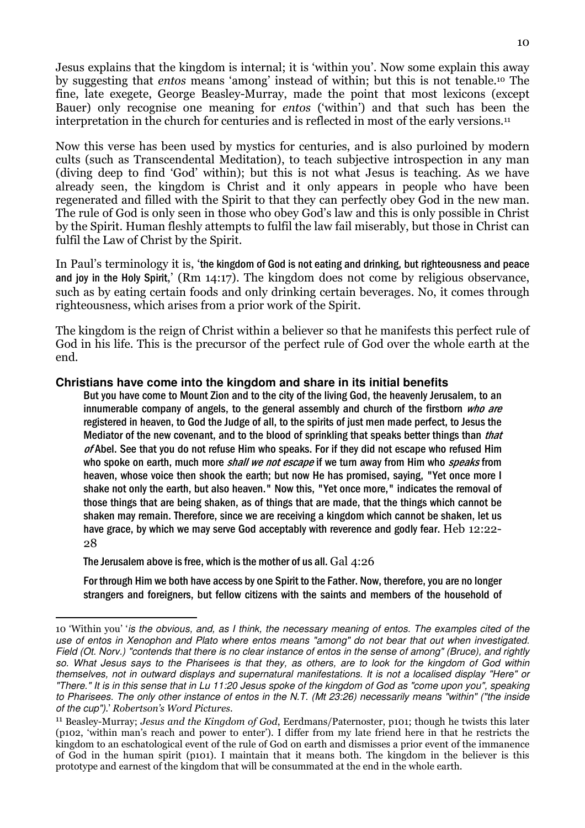Jesus explains that the kingdom is internal; it is 'within you'. Now some explain this away by suggesting that entos means 'among' instead of within; but this is not tenable.10 The fine, late exegete, George Beasley-Murray, made the point that most lexicons (except Bauer) only recognise one meaning for entos ('within') and that such has been the interpretation in the church for centuries and is reflected in most of the early versions.<sup>11</sup>

Now this verse has been used by mystics for centuries, and is also purloined by modern cults (such as Transcendental Meditation), to teach subjective introspection in any man (diving deep to find 'God' within); but this is not what Jesus is teaching. As we have already seen, the kingdom is Christ and it only appears in people who have been regenerated and filled with the Spirit to that they can perfectly obey God in the new man. The rule of God is only seen in those who obey God's law and this is only possible in Christ by the Spirit. Human fleshly attempts to fulfil the law fail miserably, but those in Christ can fulfil the Law of Christ by the Spirit.

In Paul's terminology it is, 'the kingdom of God is not eating and drinking, but righteousness and peace and joy in the Holy Spirit,' (Rm 14:17). The kingdom does not come by religious observance, such as by eating certain foods and only drinking certain beverages. No, it comes through righteousness, which arises from a prior work of the Spirit.

The kingdom is the reign of Christ within a believer so that he manifests this perfect rule of God in his life. This is the precursor of the perfect rule of God over the whole earth at the end.

#### **Christians have come into the kingdom and share in its initial benefits**

But you have come to Mount Zion and to the city of the living God, the heavenly Jerusalem, to an innumerable company of angels, to the general assembly and church of the firstborn who are registered in heaven, to God the Judge of all, to the spirits of just men made perfect, to Jesus the Mediator of the new covenant, and to the blood of sprinkling that speaks better things than *that*  $of$  Abel. See that you do not refuse Him who speaks. For if they did not escape who refused Him who spoke on earth, much more *shall we not escape* if we turn away from Him who *speaks* from heaven, whose voice then shook the earth; but now He has promised, saying, "Yet once more I shake not only the earth, but also heaven." Now this, "Yet once more," indicates the removal of those things that are being shaken, as of things that are made, that the things which cannot be shaken may remain. Therefore, since we are receiving a kingdom which cannot be shaken, let us have grace, by which we may serve God acceptably with reverence and godly fear. Heb 12:22-28

The Jerusalem above is free, which is the mother of us all. Gal 4:26

For through Him we both have access by one Spirit to the Father. Now, therefore, you are no longer strangers and foreigners, but fellow citizens with the saints and members of the household of

 $\overline{a}$ 10 'Within you' 'is the obvious, and, as I think, the necessary meaning of entos. The examples cited of the use of entos in Xenophon and Plato where entos means "among" do not bear that out when investigated. Field (Ot. Norv.) "contends that there is no clear instance of entos in the sense of among" (Bruce), and rightly so. What Jesus says to the Pharisees is that they, as others, are to look for the kingdom of God within themselves, not in outward displays and supernatural manifestations. It is not a localised display "Here" or "There." It is in this sense that in Lu 11:20 Jesus spoke of the kingdom of God as "come upon you", speaking to Pharisees. The only other instance of entos in the N.T. (Mt 23:26) necessarily means "within" ("the inside of the cup").' Robertson's Word Pictures.

<sup>11</sup> Beasley-Murray; Jesus and the Kingdom of God, Eerdmans/Paternoster, p101; though he twists this later (p102, 'within man's reach and power to enter'). I differ from my late friend here in that he restricts the kingdom to an eschatological event of the rule of God on earth and dismisses a prior event of the immanence of God in the human spirit (p101). I maintain that it means both. The kingdom in the believer is this prototype and earnest of the kingdom that will be consummated at the end in the whole earth.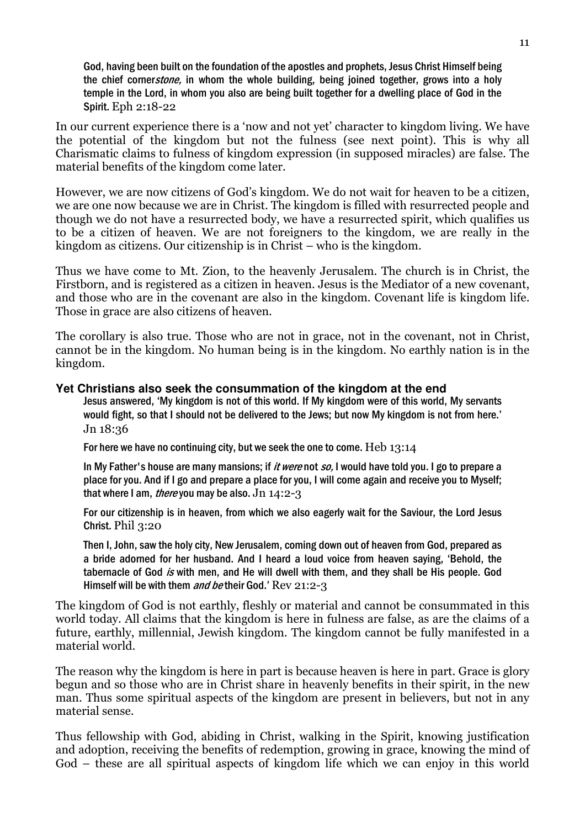God, having been built on the foundation of the apostles and prophets, Jesus Christ Himself being the chief corner*stone*, in whom the whole building, being joined together, grows into a holy temple in the Lord, in whom you also are being built together for a dwelling place of God in the Spirit. Eph 2:18-22

In our current experience there is a 'now and not yet' character to kingdom living. We have the potential of the kingdom but not the fulness (see next point). This is why all Charismatic claims to fulness of kingdom expression (in supposed miracles) are false. The material benefits of the kingdom come later.

However, we are now citizens of God's kingdom. We do not wait for heaven to be a citizen, we are one now because we are in Christ. The kingdom is filled with resurrected people and though we do not have a resurrected body, we have a resurrected spirit, which qualifies us to be a citizen of heaven. We are not foreigners to the kingdom, we are really in the kingdom as citizens. Our citizenship is in Christ – who is the kingdom.

Thus we have come to Mt. Zion, to the heavenly Jerusalem. The church is in Christ, the Firstborn, and is registered as a citizen in heaven. Jesus is the Mediator of a new covenant, and those who are in the covenant are also in the kingdom. Covenant life is kingdom life. Those in grace are also citizens of heaven.

The corollary is also true. Those who are not in grace, not in the covenant, not in Christ, cannot be in the kingdom. No human being is in the kingdom. No earthly nation is in the kingdom.

#### **Yet Christians also seek the consummation of the kingdom at the end**

Jesus answered, 'My kingdom is not of this world. If My kingdom were of this world, My servants would fight, so that I should not be delivered to the Jews; but now My kingdom is not from here.' Jn 18:36

For here we have no continuing city, but we seek the one to come. Heb 13:14

In My Father's house are many mansions; if *it were* not so, I would have told you. I go to prepare a place for you. And if I go and prepare a place for you, I will come again and receive you to Myself; that where I am, *there* you may be also,  $Jn$  14:2-3

For our citizenship is in heaven, from which we also eagerly wait for the Saviour, the Lord Jesus Christ. Phil 3:20

Then I, John, saw the holy city, New Jerusalem, coming down out of heaven from God, prepared as a bride adorned for her husband. And I heard a loud voice from heaven saying, 'Behold, the tabernacle of God is with men, and He will dwell with them, and they shall be His people. God Himself will be with them *and be* their God.' Rev 21:2-3

The kingdom of God is not earthly, fleshly or material and cannot be consummated in this world today. All claims that the kingdom is here in fulness are false, as are the claims of a future, earthly, millennial, Jewish kingdom. The kingdom cannot be fully manifested in a material world.

The reason why the kingdom is here in part is because heaven is here in part. Grace is glory begun and so those who are in Christ share in heavenly benefits in their spirit, in the new man. Thus some spiritual aspects of the kingdom are present in believers, but not in any material sense.

Thus fellowship with God, abiding in Christ, walking in the Spirit, knowing justification and adoption, receiving the benefits of redemption, growing in grace, knowing the mind of God – these are all spiritual aspects of kingdom life which we can enjoy in this world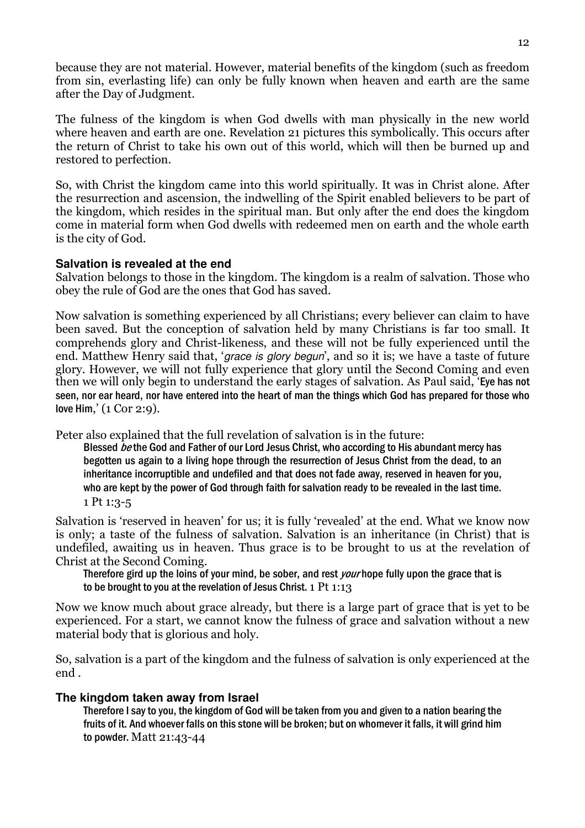because they are not material. However, material benefits of the kingdom (such as freedom from sin, everlasting life) can only be fully known when heaven and earth are the same after the Day of Judgment.

The fulness of the kingdom is when God dwells with man physically in the new world where heaven and earth are one. Revelation 21 pictures this symbolically. This occurs after the return of Christ to take his own out of this world, which will then be burned up and restored to perfection.

So, with Christ the kingdom came into this world spiritually. It was in Christ alone. After the resurrection and ascension, the indwelling of the Spirit enabled believers to be part of the kingdom, which resides in the spiritual man. But only after the end does the kingdom come in material form when God dwells with redeemed men on earth and the whole earth is the city of God.

#### **Salvation is revealed at the end**

Salvation belongs to those in the kingdom. The kingdom is a realm of salvation. Those who obey the rule of God are the ones that God has saved.

Now salvation is something experienced by all Christians; every believer can claim to have been saved. But the conception of salvation held by many Christians is far too small. It comprehends glory and Christ-likeness, and these will not be fully experienced until the end. Matthew Henry said that, '*grace is glory begun*', and so it is; we have a taste of future glory. However, we will not fully experience that glory until the Second Coming and even then we will only begin to understand the early stages of salvation. As Paul said, 'Eye has not seen, nor ear heard, nor have entered into the heart of man the things which God has prepared for those who love Him,' (1 Cor 2:9).

Peter also explained that the full revelation of salvation is in the future:

Blessed *be* the God and Father of our Lord Jesus Christ, who according to His abundant mercy has begotten us again to a living hope through the resurrection of Jesus Christ from the dead, to an inheritance incorruptible and undefiled and that does not fade away, reserved in heaven for you, who are kept by the power of God through faith for salvation ready to be revealed in the last time. 1 Pt 1:3-5

Salvation is 'reserved in heaven' for us; it is fully 'revealed' at the end. What we know now is only; a taste of the fulness of salvation. Salvation is an inheritance (in Christ) that is undefiled, awaiting us in heaven. Thus grace is to be brought to us at the revelation of Christ at the Second Coming.

Therefore gird up the loins of your mind, be sober, and rest *your* hope fully upon the grace that is to be brought to you at the revelation of Jesus Christ. 1 Pt 1:13

Now we know much about grace already, but there is a large part of grace that is yet to be experienced. For a start, we cannot know the fulness of grace and salvation without a new material body that is glorious and holy.

So, salvation is a part of the kingdom and the fulness of salvation is only experienced at the end .

# **The kingdom taken away from Israel**

Therefore I say to you, the kingdom of God will be taken from you and given to a nation bearing the fruits of it. And whoever falls on this stone will be broken; but on whomever it falls, it will grind him to powder. Matt 21:43-44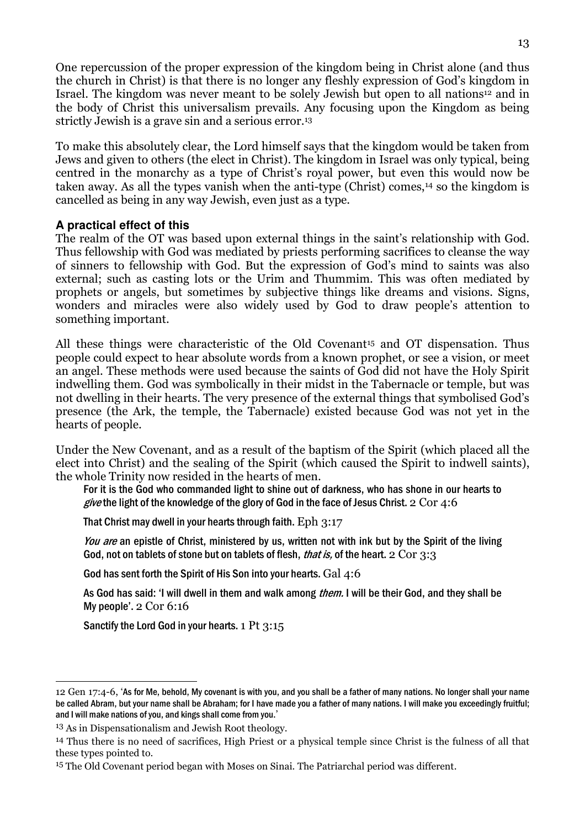One repercussion of the proper expression of the kingdom being in Christ alone (and thus the church in Christ) is that there is no longer any fleshly expression of God's kingdom in Israel. The kingdom was never meant to be solely Jewish but open to all nations<sup>12</sup> and in the body of Christ this universalism prevails. Any focusing upon the Kingdom as being strictly Jewish is a grave sin and a serious error.<sup>13</sup>

To make this absolutely clear, the Lord himself says that the kingdom would be taken from Jews and given to others (the elect in Christ). The kingdom in Israel was only typical, being centred in the monarchy as a type of Christ's royal power, but even this would now be taken away. As all the types vanish when the anti-type (Christ) comes,14 so the kingdom is cancelled as being in any way Jewish, even just as a type.

#### **A practical effect of this**

The realm of the OT was based upon external things in the saint's relationship with God. Thus fellowship with God was mediated by priests performing sacrifices to cleanse the way of sinners to fellowship with God. But the expression of God's mind to saints was also external; such as casting lots or the Urim and Thummim. This was often mediated by prophets or angels, but sometimes by subjective things like dreams and visions. Signs, wonders and miracles were also widely used by God to draw people's attention to something important.

All these things were characteristic of the Old Covenant<sup>15</sup> and OT dispensation. Thus people could expect to hear absolute words from a known prophet, or see a vision, or meet an angel. These methods were used because the saints of God did not have the Holy Spirit indwelling them. God was symbolically in their midst in the Tabernacle or temple, but was not dwelling in their hearts. The very presence of the external things that symbolised God's presence (the Ark, the temple, the Tabernacle) existed because God was not yet in the hearts of people.

Under the New Covenant, and as a result of the baptism of the Spirit (which placed all the elect into Christ) and the sealing of the Spirit (which caused the Spirit to indwell saints), the whole Trinity now resided in the hearts of men.

For it is the God who commanded light to shine out of darkness, who has shone in our hearts to give the light of the knowledge of the glory of God in the face of Jesus Christ.  $2 \text{ Cor } 4:6$ 

That Christ may dwell in your hearts through faith. Eph 3:17

You are an epistle of Christ, ministered by us, written not with ink but by the Spirit of the living God, not on tablets of stone but on tablets of flesh, *that is*, of the heart, 2 Cor 3:3

God has sent forth the Spirit of His Son into your hearts. Gal 4:6

As God has said: 'I will dwell in them and walk among *them.* I will be their God, and they shall be My people'. 2 Cor 6:16

Sanctify the Lord God in your hearts. 1 Pt 3:15

 $\overline{a}$ 

<sup>12</sup> Gen 17:4-6, 'As for Me, behold, My covenant is with you, and you shall be a father of many nations. No longer shall your name be called Abram, but your name shall be Abraham; for I have made you a father of many nations. I will make you exceedingly fruitful; and I will make nations of you, and kings shall come from you.'

<sup>13</sup> As in Dispensationalism and Jewish Root theology.

<sup>14</sup> Thus there is no need of sacrifices, High Priest or a physical temple since Christ is the fulness of all that these types pointed to.

<sup>15</sup> The Old Covenant period began with Moses on Sinai. The Patriarchal period was different.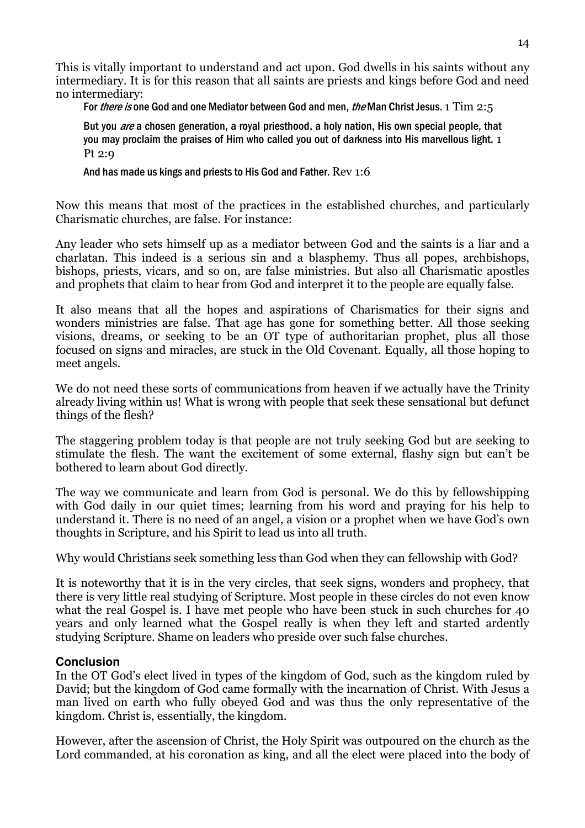This is vitally important to understand and act upon. God dwells in his saints without any intermediary. It is for this reason that all saints are priests and kings before God and need no intermediary:

For *there is* one God and one Mediator between God and men, *the* Man Christ Jesus. 1 Tim 2:5

But you *are* a chosen generation, a royal priesthood, a holy nation, His own special people, that you may proclaim the praises of Him who called you out of darkness into His marvellous light. 1 Pt 2:9

And has made us kings and priests to His God and Father. Rev 1:6

Now this means that most of the practices in the established churches, and particularly Charismatic churches, are false. For instance:

Any leader who sets himself up as a mediator between God and the saints is a liar and a charlatan. This indeed is a serious sin and a blasphemy. Thus all popes, archbishops, bishops, priests, vicars, and so on, are false ministries. But also all Charismatic apostles and prophets that claim to hear from God and interpret it to the people are equally false.

It also means that all the hopes and aspirations of Charismatics for their signs and wonders ministries are false. That age has gone for something better. All those seeking visions, dreams, or seeking to be an OT type of authoritarian prophet, plus all those focused on signs and miracles, are stuck in the Old Covenant. Equally, all those hoping to meet angels.

We do not need these sorts of communications from heaven if we actually have the Trinity already living within us! What is wrong with people that seek these sensational but defunct things of the flesh?

The staggering problem today is that people are not truly seeking God but are seeking to stimulate the flesh. The want the excitement of some external, flashy sign but can't be bothered to learn about God directly.

The way we communicate and learn from God is personal. We do this by fellowshipping with God daily in our quiet times; learning from his word and praying for his help to understand it. There is no need of an angel, a vision or a prophet when we have God's own thoughts in Scripture, and his Spirit to lead us into all truth.

Why would Christians seek something less than God when they can fellowship with God?

It is noteworthy that it is in the very circles, that seek signs, wonders and prophecy, that there is very little real studying of Scripture. Most people in these circles do not even know what the real Gospel is. I have met people who have been stuck in such churches for 40 years and only learned what the Gospel really is when they left and started ardently studying Scripture. Shame on leaders who preside over such false churches.

# **Conclusion**

In the OT God's elect lived in types of the kingdom of God, such as the kingdom ruled by David; but the kingdom of God came formally with the incarnation of Christ. With Jesus a man lived on earth who fully obeyed God and was thus the only representative of the kingdom. Christ is, essentially, the kingdom.

However, after the ascension of Christ, the Holy Spirit was outpoured on the church as the Lord commanded, at his coronation as king, and all the elect were placed into the body of